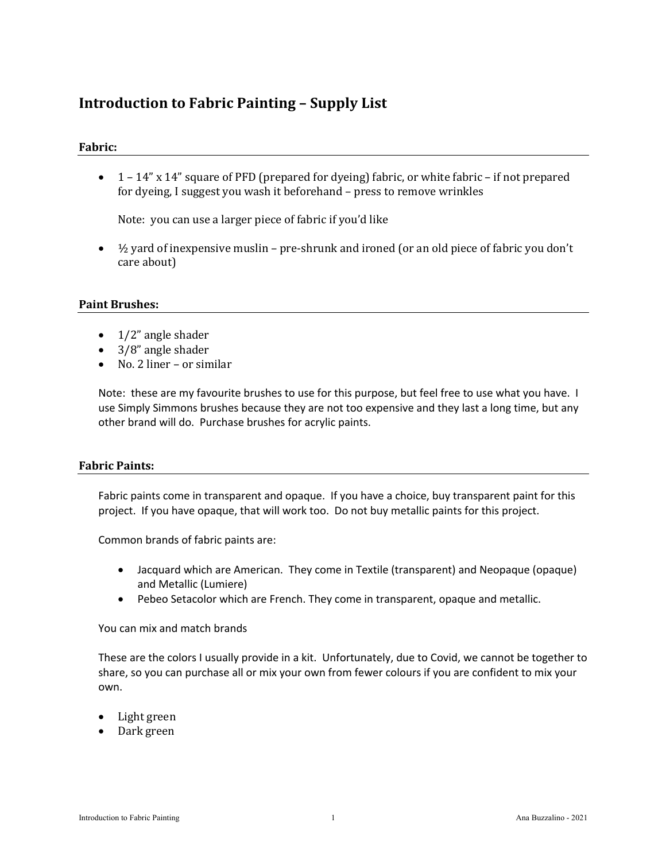# **Introduction to Fabric Painting – Supply List**

### **Fabric:**

•  $1 - 14$ " x  $14$ " square of PFD (prepared for dyeing) fabric, or white fabric – if not prepared for dyeing, I suggest you wash it beforehand - press to remove wrinkles

Note: you can use a larger piece of fabric if you'd like

•  $\frac{1}{2}$  yard of inexpensive muslin – pre-shrunk and ironed (or an old piece of fabric you don't care about)

#### **Paint Brushes:**

- $\bullet$  1/2" angle shader
- $\bullet$  3/8" angle shader
- No. 2 liner or similar

Note: these are my favourite brushes to use for this purpose, but feel free to use what you have. I use Simply Simmons brushes because they are not too expensive and they last a long time, but any other brand will do. Purchase brushes for acrylic paints.

### **Fabric Paints:**

Fabric paints come in transparent and opaque. If you have a choice, buy transparent paint for this project. If you have opaque, that will work too. Do not buy metallic paints for this project.

Common brands of fabric paints are:

- Jacquard which are American. They come in Textile (transparent) and Neopaque (opaque) and Metallic (Lumiere)
- Pebeo Setacolor which are French. They come in transparent, opaque and metallic.

You can mix and match brands

These are the colors I usually provide in a kit. Unfortunately, due to Covid, we cannot be together to share, so you can purchase all or mix your own from fewer colours if you are confident to mix your own.

- Light green
- Dark green